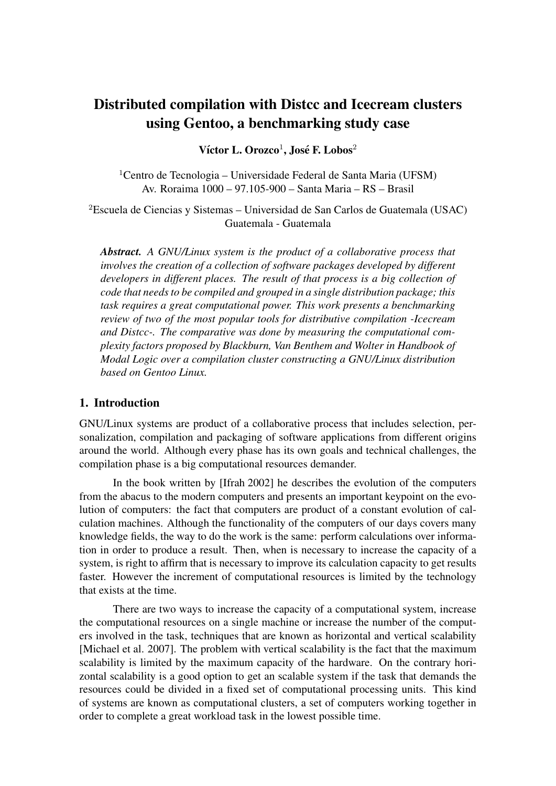# Distributed compilation with Distcc and Icecream clusters using Gentoo, a benchmarking study case

Víctor L. Orozco<sup>1</sup>, José F. Lobos<sup>2</sup>

 $1$ Centro de Tecnologia – Universidade Federal de Santa Maria (UFSM) Av. Roraima 1000 – 97.105-900 – Santa Maria – RS – Brasil

<sup>2</sup>Escuela de Ciencias y Sistemas – Universidad de San Carlos de Guatemala (USAC) Guatemala - Guatemala

*Abstract. A GNU/Linux system is the product of a collaborative process that involves the creation of a collection of software packages developed by different developers in different places. The result of that process is a big collection of code that needs to be compiled and grouped in a single distribution package; this task requires a great computational power. This work presents a benchmarking review of two of the most popular tools for distributive compilation -Icecream and Distcc-. The comparative was done by measuring the computational complexity factors proposed by Blackburn, Van Benthem and Wolter in Handbook of Modal Logic over a compilation cluster constructing a GNU/Linux distribution based on Gentoo Linux.*

#### 1. Introduction

GNU/Linux systems are product of a collaborative process that includes selection, personalization, compilation and packaging of software applications from different origins around the world. Although every phase has its own goals and technical challenges, the compilation phase is a big computational resources demander.

In the book written by [Ifrah 2002] he describes the evolution of the computers from the abacus to the modern computers and presents an important keypoint on the evolution of computers: the fact that computers are product of a constant evolution of calculation machines. Although the functionality of the computers of our days covers many knowledge fields, the way to do the work is the same: perform calculations over information in order to produce a result. Then, when is necessary to increase the capacity of a system, is right to affirm that is necessary to improve its calculation capacity to get results faster. However the increment of computational resources is limited by the technology that exists at the time.

There are two ways to increase the capacity of a computational system, increase the computational resources on a single machine or increase the number of the computers involved in the task, techniques that are known as horizontal and vertical scalability [Michael et al. 2007]. The problem with vertical scalability is the fact that the maximum scalability is limited by the maximum capacity of the hardware. On the contrary horizontal scalability is a good option to get an scalable system if the task that demands the resources could be divided in a fixed set of computational processing units. This kind of systems are known as computational clusters, a set of computers working together in order to complete a great workload task in the lowest possible time.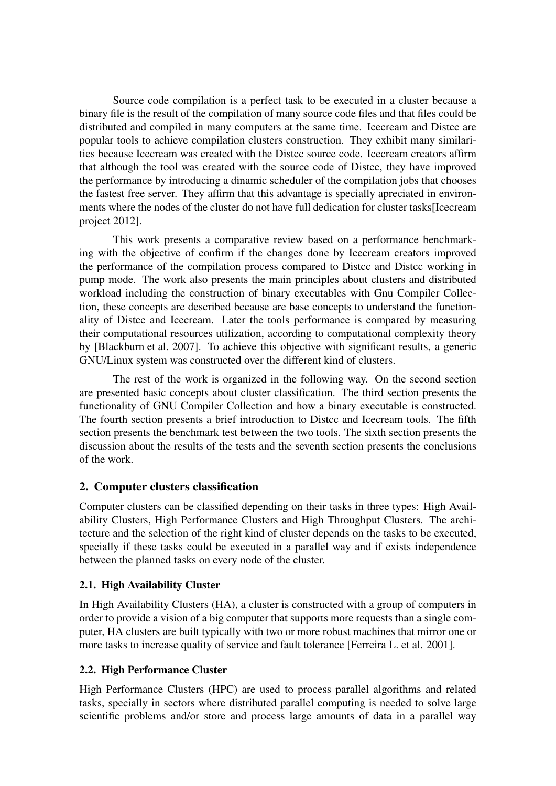Source code compilation is a perfect task to be executed in a cluster because a binary file is the result of the compilation of many source code files and that files could be distributed and compiled in many computers at the same time. Icecream and Distcc are popular tools to achieve compilation clusters construction. They exhibit many similarities because Icecream was created with the Distcc source code. Icecream creators affirm that although the tool was created with the source code of Distcc, they have improved the performance by introducing a dinamic scheduler of the compilation jobs that chooses the fastest free server. They affirm that this advantage is specially apreciated in environments where the nodes of the cluster do not have full dedication for cluster tasks[Icecream project 2012].

This work presents a comparative review based on a performance benchmarking with the objective of confirm if the changes done by Icecream creators improved the performance of the compilation process compared to Distcc and Distcc working in pump mode. The work also presents the main principles about clusters and distributed workload including the construction of binary executables with Gnu Compiler Collection, these concepts are described because are base concepts to understand the functionality of Distcc and Icecream. Later the tools performance is compared by measuring their computational resources utilization, according to computational complexity theory by [Blackburn et al. 2007]. To achieve this objective with significant results, a generic GNU/Linux system was constructed over the different kind of clusters.

The rest of the work is organized in the following way. On the second section are presented basic concepts about cluster classification. The third section presents the functionality of GNU Compiler Collection and how a binary executable is constructed. The fourth section presents a brief introduction to Distcc and Icecream tools. The fifth section presents the benchmark test between the two tools. The sixth section presents the discussion about the results of the tests and the seventh section presents the conclusions of the work.

# 2. Computer clusters classification

Computer clusters can be classified depending on their tasks in three types: High Availability Clusters, High Performance Clusters and High Throughput Clusters. The architecture and the selection of the right kind of cluster depends on the tasks to be executed, specially if these tasks could be executed in a parallel way and if exists independence between the planned tasks on every node of the cluster.

## 2.1. High Availability Cluster

In High Availability Clusters (HA), a cluster is constructed with a group of computers in order to provide a vision of a big computer that supports more requests than a single computer, HA clusters are built typically with two or more robust machines that mirror one or more tasks to increase quality of service and fault tolerance [Ferreira L. et al. 2001].

## 2.2. High Performance Cluster

High Performance Clusters (HPC) are used to process parallel algorithms and related tasks, specially in sectors where distributed parallel computing is needed to solve large scientific problems and/or store and process large amounts of data in a parallel way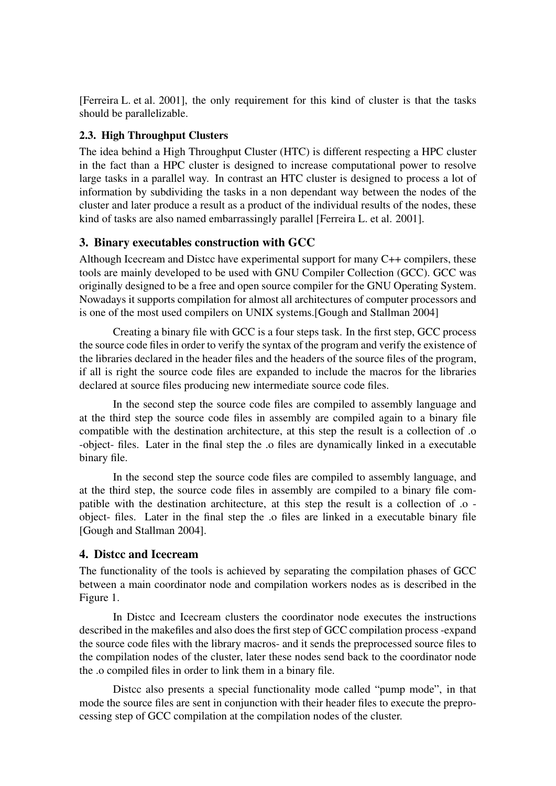[Ferreira L. et al. 2001], the only requirement for this kind of cluster is that the tasks should be parallelizable.

## 2.3. High Throughput Clusters

The idea behind a High Throughput Cluster (HTC) is different respecting a HPC cluster in the fact than a HPC cluster is designed to increase computational power to resolve large tasks in a parallel way. In contrast an HTC cluster is designed to process a lot of information by subdividing the tasks in a non dependant way between the nodes of the cluster and later produce a result as a product of the individual results of the nodes, these kind of tasks are also named embarrassingly parallel [Ferreira L. et al. 2001].

#### 3. Binary executables construction with GCC

Although Icecream and Distcc have experimental support for many C++ compilers, these tools are mainly developed to be used with GNU Compiler Collection (GCC). GCC was originally designed to be a free and open source compiler for the GNU Operating System. Nowadays it supports compilation for almost all architectures of computer processors and is one of the most used compilers on UNIX systems.[Gough and Stallman 2004]

Creating a binary file with GCC is a four steps task. In the first step, GCC process the source code files in order to verify the syntax of the program and verify the existence of the libraries declared in the header files and the headers of the source files of the program, if all is right the source code files are expanded to include the macros for the libraries declared at source files producing new intermediate source code files.

In the second step the source code files are compiled to assembly language and at the third step the source code files in assembly are compiled again to a binary file compatible with the destination architecture, at this step the result is a collection of .o -object- files. Later in the final step the .o files are dynamically linked in a executable binary file.

In the second step the source code files are compiled to assembly language, and at the third step, the source code files in assembly are compiled to a binary file compatible with the destination architecture, at this step the result is a collection of .o object- files. Later in the final step the .o files are linked in a executable binary file [Gough and Stallman 2004].

#### 4. Distcc and Icecream

The functionality of the tools is achieved by separating the compilation phases of GCC between a main coordinator node and compilation workers nodes as is described in the Figure 1.

In Distcc and Icecream clusters the coordinator node executes the instructions described in the makefiles and also does the first step of GCC compilation process -expand the source code files with the library macros- and it sends the preprocessed source files to the compilation nodes of the cluster, later these nodes send back to the coordinator node the .o compiled files in order to link them in a binary file.

Distcc also presents a special functionality mode called "pump mode", in that mode the source files are sent in conjunction with their header files to execute the preprocessing step of GCC compilation at the compilation nodes of the cluster.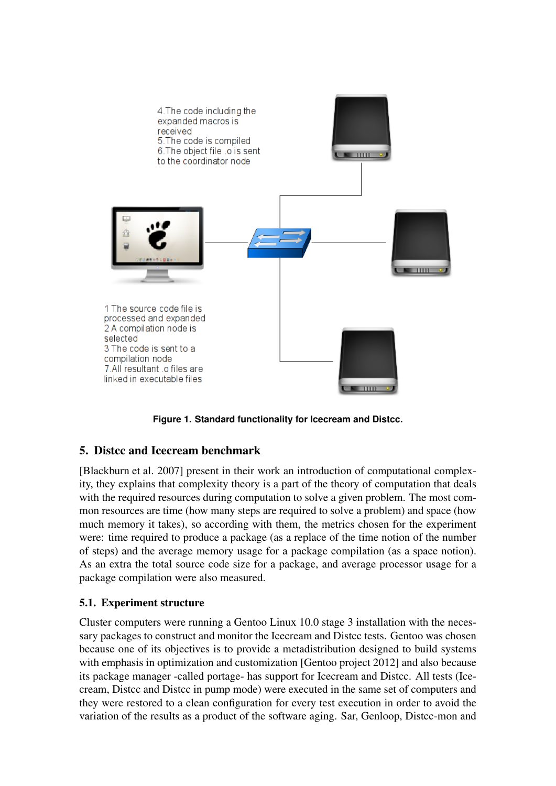

**Figure 1. Standard functionality for Icecream and Distcc.**

# 5. Distcc and Icecream benchmark

[Blackburn et al. 2007] present in their work an introduction of computational complexity, they explains that complexity theory is a part of the theory of computation that deals with the required resources during computation to solve a given problem. The most common resources are time (how many steps are required to solve a problem) and space (how much memory it takes), so according with them, the metrics chosen for the experiment were: time required to produce a package (as a replace of the time notion of the number of steps) and the average memory usage for a package compilation (as a space notion). As an extra the total source code size for a package, and average processor usage for a package compilation were also measured.

# 5.1. Experiment structure

Cluster computers were running a Gentoo Linux 10.0 stage 3 installation with the necessary packages to construct and monitor the Icecream and Distcc tests. Gentoo was chosen because one of its objectives is to provide a metadistribution designed to build systems with emphasis in optimization and customization [Gentoo project 2012] and also because its package manager -called portage- has support for Icecream and Distcc. All tests (Icecream, Distcc and Distcc in pump mode) were executed in the same set of computers and they were restored to a clean configuration for every test execution in order to avoid the variation of the results as a product of the software aging. Sar, Genloop, Distcc-mon and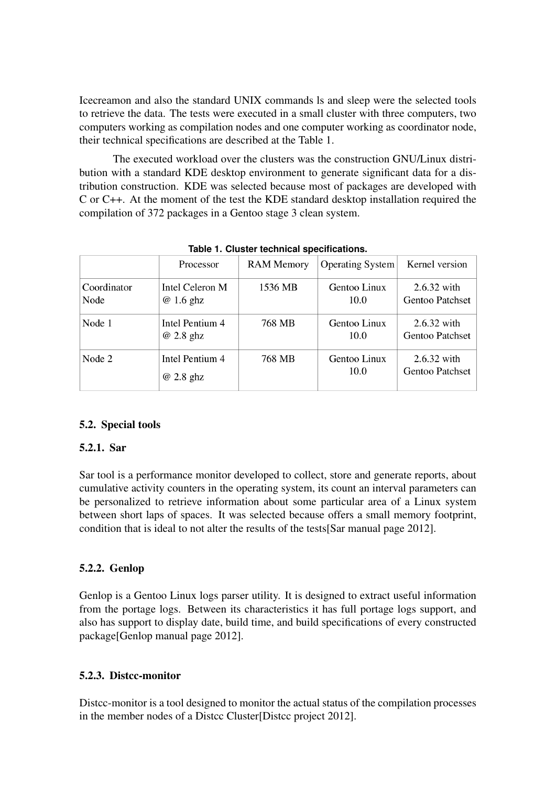Icecreamon and also the standard UNIX commands ls and sleep were the selected tools to retrieve the data. The tests were executed in a small cluster with three computers, two computers working as compilation nodes and one computer working as coordinator node, their technical specifications are described at the Table 1.

The executed workload over the clusters was the construction GNU/Linux distribution with a standard KDE desktop environment to generate significant data for a distribution construction. KDE was selected because most of packages are developed with C or C++. At the moment of the test the KDE standard desktop installation required the compilation of 372 packages in a Gentoo stage 3 clean system.

|                     | Processor                     | <b>RAM Memory</b> | Operating System     | Kernel version                          |
|---------------------|-------------------------------|-------------------|----------------------|-----------------------------------------|
| Coordinator<br>Node | Intel Celeron M<br>$@1.6$ ghz | 1536 MB           | Gentoo Linux<br>10.0 | $2.6.32$ with<br><b>Gentoo Patchset</b> |
| Node 1              | Intel Pentium 4<br>$@2.8$ ghz | 768 MB            | Gentoo Linux<br>10.0 | $2.6.32$ with<br><b>Gentoo Patchset</b> |
| Node 2              | Intel Pentium 4<br>@ 2.8 ghz  | 768 MB            | Gentoo Linux<br>10.0 | $2.6.32$ with<br><b>Gentoo Patchset</b> |

**Table 1. Cluster technical specifications.**

#### 5.2. Special tools

#### 5.2.1. Sar

Sar tool is a performance monitor developed to collect, store and generate reports, about cumulative activity counters in the operating system, its count an interval parameters can be personalized to retrieve information about some particular area of a Linux system between short laps of spaces. It was selected because offers a small memory footprint, condition that is ideal to not alter the results of the tests[Sar manual page 2012].

## 5.2.2. Genlop

Genlop is a Gentoo Linux logs parser utility. It is designed to extract useful information from the portage logs. Between its characteristics it has full portage logs support, and also has support to display date, build time, and build specifications of every constructed package[Genlop manual page 2012].

#### 5.2.3. Distcc-monitor

Distcc-monitor is a tool designed to monitor the actual status of the compilation processes in the member nodes of a Distcc Cluster[Distcc project 2012].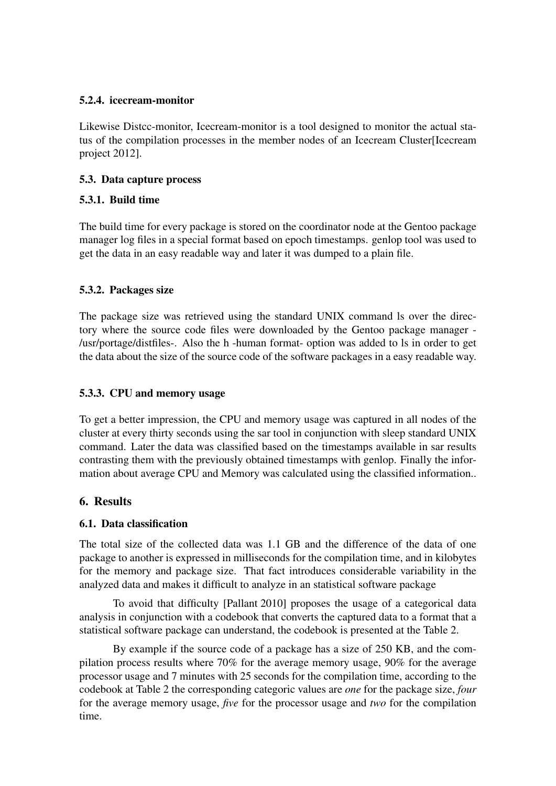## 5.2.4. icecream-monitor

Likewise Distcc-monitor, Icecream-monitor is a tool designed to monitor the actual status of the compilation processes in the member nodes of an Icecream Cluster[Icecream project 2012].

## 5.3. Data capture process

## 5.3.1. Build time

The build time for every package is stored on the coordinator node at the Gentoo package manager log files in a special format based on epoch timestamps. genlop tool was used to get the data in an easy readable way and later it was dumped to a plain file.

## 5.3.2. Packages size

The package size was retrieved using the standard UNIX command ls over the directory where the source code files were downloaded by the Gentoo package manager - /usr/portage/distfiles-. Also the h -human format- option was added to ls in order to get the data about the size of the source code of the software packages in a easy readable way.

## 5.3.3. CPU and memory usage

To get a better impression, the CPU and memory usage was captured in all nodes of the cluster at every thirty seconds using the sar tool in conjunction with sleep standard UNIX command. Later the data was classified based on the timestamps available in sar results contrasting them with the previously obtained timestamps with genlop. Finally the information about average CPU and Memory was calculated using the classified information..

## 6. Results

#### 6.1. Data classification

The total size of the collected data was 1.1 GB and the difference of the data of one package to another is expressed in milliseconds for the compilation time, and in kilobytes for the memory and package size. That fact introduces considerable variability in the analyzed data and makes it difficult to analyze in an statistical software package

To avoid that difficulty [Pallant 2010] proposes the usage of a categorical data analysis in conjunction with a codebook that converts the captured data to a format that a statistical software package can understand, the codebook is presented at the Table 2.

By example if the source code of a package has a size of 250 KB, and the compilation process results where 70% for the average memory usage, 90% for the average processor usage and 7 minutes with 25 seconds for the compilation time, according to the codebook at Table 2 the corresponding categoric values are *one* for the package size, *four* for the average memory usage, *five* for the processor usage and *two* for the compilation time.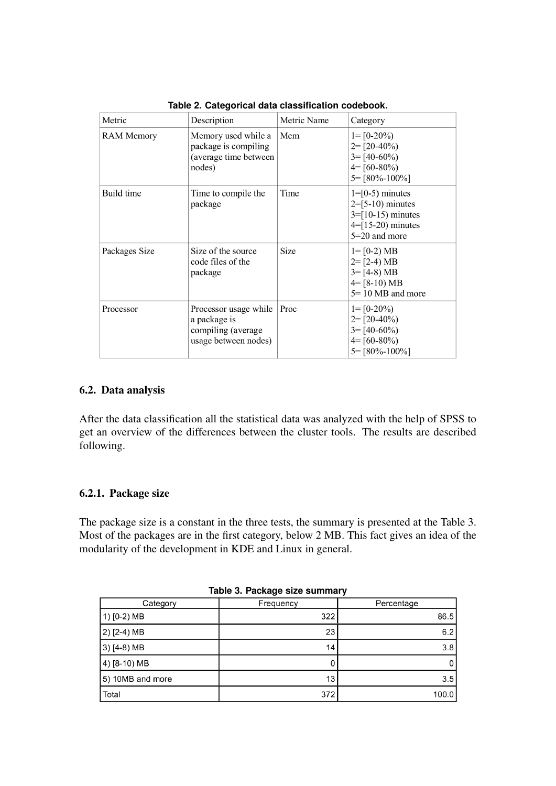| Metric            | Description                                                                         | Metric Name | Category                                                                                                 |
|-------------------|-------------------------------------------------------------------------------------|-------------|----------------------------------------------------------------------------------------------------------|
| <b>RAM Memory</b> | Memory used while a<br>package is compiling<br>(average time between<br>nodes)      | Mem         | $1 = [0-20\%]$<br>$2 = [20-40\%]$<br>$3 = [40-60\%]$<br>$4 = [60-80\%]$<br>$5 = [80\% - 100\%]$          |
| Build time        | Time to compile the<br>package                                                      | Time        | $1=[0-5)$ minutes<br>$2=[5-10)$ minutes<br>$3 = [10-15)$ minutes<br>$4=[15-20)$ minutes<br>5=20 and more |
| Packages Size     | Size of the source<br>code files of the<br>package                                  | Size        | $1 = [0-2) MB$<br>$2 = [2-4) MB$<br>$3 = [4-8) MB$<br>$4 = [8-10) MB$<br>$5 = 10 \text{ MB}$ and more    |
| Processor         | Processor usage while<br>a package is<br>compiling (average<br>usage between nodes) | Proc        | $1 = [0-20\%]$<br>$2 = [20-40\%]$<br>$3 = [40-60\%]$<br>$4 = [60-80\%]$<br>$5 = [80\% - 100\%]$          |

**Table 2. Categorical data classification codebook.**

#### 6.2. Data analysis

After the data classification all the statistical data was analyzed with the help of SPSS to get an overview of the differences between the cluster tools. The results are described following.

#### 6.2.1. Package size

The package size is a constant in the three tests, the summary is presented at the Table 3. Most of the packages are in the first category, below 2 MB. This fact gives an idea of the modularity of the development in KDE and Linux in general.

| Table 3. Package size summary |           |            |  |  |  |  |  |
|-------------------------------|-----------|------------|--|--|--|--|--|
| Category                      | Frequency | Percentage |  |  |  |  |  |
| 1) $[0-2)$ MB                 | 322       | 86.5       |  |  |  |  |  |
| 2) [2-4) MB                   | 23        | 6.2        |  |  |  |  |  |
| 3) [4-8) MB                   | 14        | 3.8        |  |  |  |  |  |
| 4) [8-10) MB                  | 0         |            |  |  |  |  |  |
| 5) 10MB and more              | 13        | 3.5        |  |  |  |  |  |
| Total                         | 372       | 100.0      |  |  |  |  |  |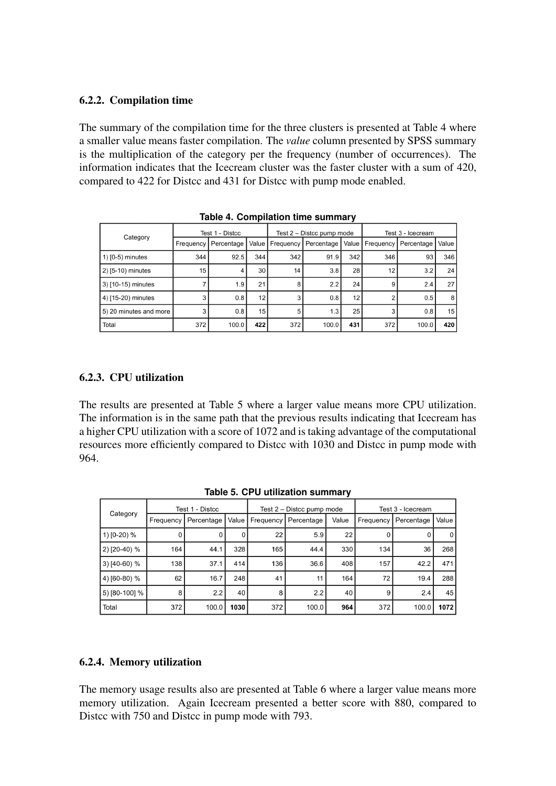#### 6.2.2. Compilation time

The summary of the compilation time for the three clusters is presented at Table 4 where a smaller value means faster compilation. The *value* column presented by SPSS summary is the multiplication of the category per the frequency (number of occurrences). The information indicates that the Icecream cluster was the faster cluster with a sum of 420, compared to 422 for Distcc and 431 for Distcc with pump mode enabled.

|                        | Test 1 - Distcc |            |                 | Test 2 - Distcc pump mode |            |       | Test 3 - Icecream |            |                 |
|------------------------|-----------------|------------|-----------------|---------------------------|------------|-------|-------------------|------------|-----------------|
| Category               | Frequency       | Percentage | Value           | Frequency                 | Percentage | Value | Frequency         | Percentage | Value           |
| $(1)$ [0-5) minutes    | 344             | 92.5       | 344             | 342                       | 91.9       | 342   | 346               | 93         | 346             |
| 2) [5-10) minutes      | 15              |            | 30 <sub>1</sub> | 14                        | 3.8        | 28    | 12 <sub>2</sub>   | 3.2        | 24 <sub>1</sub> |
| 3) [10-15) minutes     |                 | 1.9        | 21              |                           | 2.2        | 24    | 9                 | 2.4        | 27              |
| 4) [15-20) minutes     |                 | 0.8        | 12              |                           | 0.8        | 12    |                   | 0.5        | 8               |
| 5) 20 minutes and more |                 | 0.8        | 15              | 5                         | 1.3        | 25    |                   | 0.8        | 15 <sub>1</sub> |
| Total                  | 372             | 100.0      | 422             | 372                       | 100.0      | 431   | 372               | 100.0      | 420             |

**Table 4. Compilation time summary**

## 6.2.3. CPU utilization

The results are presented at Table 5 where a larger value means more CPU utilization. The information is in the same path that the previous results indicating that Icecream has a higher CPU utilization with a score of 1072 and is taking advantage of the computational resources more efficiently compared to Distcc with 1030 and Distcc in pump mode with 964.

|                |           | Test 1 - Distcc |                 | Test $2 -$ Distcc pump mode |            |       | Test 3 - Icecream |            |        |
|----------------|-----------|-----------------|-----------------|-----------------------------|------------|-------|-------------------|------------|--------|
| Category       | Frequency | Percentage      | Value I         | Frequency                   | Percentage | Value | Frequency         | Percentage | Value  |
| 1) [0-20) %    |           | υ               | 0               | 22                          | 5.9        | 22    | U                 |            | 0 I    |
| 2) [20-40) %   | 164       | 44.1            | 328             | 165                         | 44.4       | 330   | 134               | 36         | 268    |
| 3) $[40-60)$ % | 138       | 37.1            | 414             | 136                         | 36.6       | 408   | 157               | 42.2       | 471    |
| 4) [60-80) %   | 62        | 16.7            | 248             | 41                          | 11         | 164   | 72                | 19.4       | 288    |
| 5) [80-100] %  | 8         | 2.2             | 40 <sup>1</sup> | 8                           | 2.2        | 40    | 9                 | 2.4        | 45     |
| Total          | 372       | 100.0           | 1030            | 372                         | 100.0      | 964   | 372               | 100.0      | 1072 l |

**Table 5. CPU utilization summary**

## 6.2.4. Memory utilization

The memory usage results also are presented at Table 6 where a larger value means more memory utilization. Again Icecream presented a better score with 880, compared to Distcc with 750 and Distcc in pump mode with 793.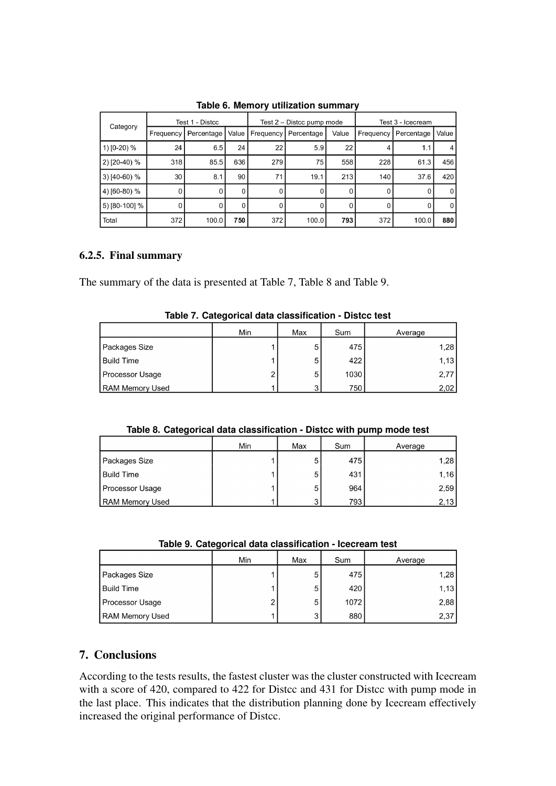|                | Test 1 - Distcc |            |       | Test 2 – Distcc pump mode |            |       | Test 3 - Icecream |            |              |
|----------------|-----------------|------------|-------|---------------------------|------------|-------|-------------------|------------|--------------|
| Category       | Frequency       | Percentage | Value | Frequency                 | Percentage | Value | Frequency         | Percentage | Value        |
| 1) [0-20) %    | 24              | 6.5        | 24    | 22                        | 5.9        | 22    | 4                 | 1.1        | 4            |
| 2) [20-40) %   | 318             | 85.5       | 636   | 279                       | 75         | 558   | 228               | 61.3       | 456          |
| $3)$ [40-60) % | 30              | 8.1        | 90    | 71                        | 19.1       | 213   | 140               | 37.6       | 420          |
| 4) [60-80) %   | 0               | 0          | 0     | 0                         | 0          | 0     | 0                 | Ü          | $\Omega$     |
| 5) [80-100] %  | 0               | 0          | 0     | 0                         | 0          | 0     | 0                 |            | $\mathbf{0}$ |
| Total          | 372             | 100.0      | 750   | 372                       | 100.0      | 793   | 372               | 100.0      | 880          |

**Table 6. Memory utilization summary**

## 6.2.5. Final summary

The summary of the data is presented at Table 7, Table 8 and Table 9.

|                        | -----<br>Min | Max | Sum  |         |
|------------------------|--------------|-----|------|---------|
|                        |              |     |      | Average |
| Packages Size          |              | 5   | 475  | 1,28    |
| <b>Build Time</b>      |              | 5   | 422  | 1,13    |
| Processor Usage        | ◠            | 5   | 1030 | 2,77    |
| <b>RAM Memory Used</b> |              | ົ   | 750  | 2,02    |

**Table 7. Categorical data classification - Distcc test**

| Table 8. Categorical data classification - Distcc with pump mode test |  |
|-----------------------------------------------------------------------|--|
|-----------------------------------------------------------------------|--|

|                        | Min | Max | Sum | Average |
|------------------------|-----|-----|-----|---------|
| Packages Size          |     | 5   | 475 | 1,28    |
| <b>Build Time</b>      |     | 5   | 431 | 1,16    |
| Processor Usage        |     | 5   | 964 | 2,59    |
| <b>RAM Memory Used</b> |     | ◠   | 793 | 2,13    |

|  |  |  |  | Table 9. Categorical data classification - Icecream test |  |  |
|--|--|--|--|----------------------------------------------------------|--|--|
|--|--|--|--|----------------------------------------------------------|--|--|

|                 | Min | Max | Sum  | Average |
|-----------------|-----|-----|------|---------|
| Packages Size   |     |     | 475  | 1,28    |
| Build Time      |     | 5   | 420  | 1,13    |
| Processor Usage | 2   | 5   | 1072 | 2,88    |
| RAM Memory Used |     | ◠   | 880  | 2,37    |

## 7. Conclusions

According to the tests results, the fastest cluster was the cluster constructed with Icecream with a score of 420, compared to 422 for Distcc and 431 for Distcc with pump mode in the last place. This indicates that the distribution planning done by Icecream effectively increased the original performance of Distcc.